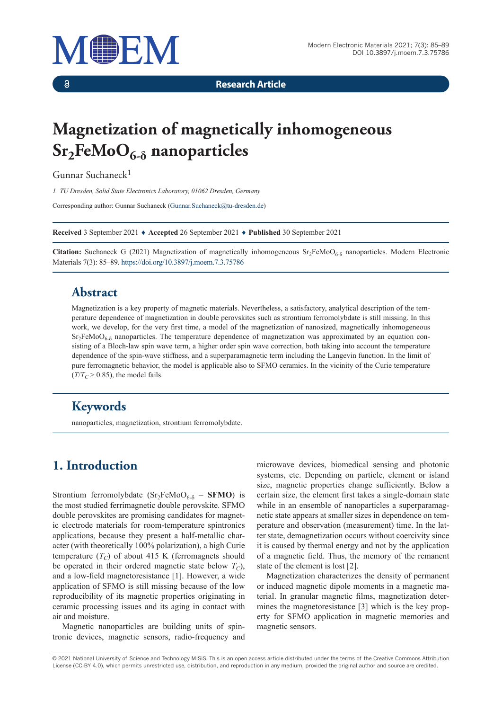

 $\delta$ 

**Research Article**

# **Magnetization of magnetically inhomogeneous Sr2FeMoO6-δ nanoparticles**

Gunnar Suchaneck<sup>1</sup>

*1 TU Dresden, Solid State Electronics Laboratory, 01062 Dresden, Germany*

Corresponding author: Gunnar Suchaneck (Gunnar.Suchaneck@tu-dresden.de)

**Received** 3 September 2021 ♦ **Accepted** 26 September 2021 ♦ **Published** 30 September 2021

**Citation:** Suchaneck G (2021) Magnetization of magnetically inhomogeneous  $Sr_2FeMoO<sub>6-δ</sub>$  nanoparticles. Modern Electronic Materials 7(3): 85–89. https://doi.org/10.3897/j.moem.7.3.75786

## **Abstract**

Magnetization is a key property of magnetic materials. Nevertheless, a satisfactory, analytical description of the temperature dependence of magnetization in double perovskites such as strontium ferromolybdate is still missing. In this work, we develop, for the very first time, a model of the magnetization of nanosized, magnetically inhomogeneous  $Sr<sub>2</sub>FeMoO<sub>6-δ</sub>$  nanoparticles. The temperature dependence of magnetization was approximated by an equation consisting of a Bloch-law spin wave term, a higher order spin wave correction, both taking into account the temperature dependence of the spin-wave stiffness, and a superparamagnetic term including the Langevin function. In the limit of pure ferromagnetic behavior, the model is applicable also to SFMO ceramics. In the vicinity of the Curie temperature  $(T/T_C > 0.85)$ , the model fails.

# **Keywords**

nanoparticles, magnetization, strontium ferromolybdate.

# **1. Introduction**

Strontium ferromolybdate  $(Sr_2FeMoO_{6-\delta} - SFMO)$  is the most studied ferrimagnetic double perovskite. SFMO double perovskites are promising candidates for magnetic electrode materials for room-temperature spintronics applications, because they present a half-metallic character (with theoretically 100% polarization), a high Curie temperature  $(T_C)$  of about 415 K (ferromagnets should be operated in their ordered magnetic state below  $T_C$ ), and a low-field magnetoresistance [1]. However, a wide application of SFMO is still missing because of the low reproducibility of its magnetic properties originating in ceramic processing issues and its aging in contact with air and moisture.

Magnetic nanoparticles are building units of spintronic devices, magnetic sensors, radio-frequency and microwave devices, biomedical sensing and photonic systems, etc. Depending on particle, element or island size, magnetic properties change sufficiently. Below a certain size, the element first takes a single-domain state while in an ensemble of nanoparticles a superparamagnetic state appears at smaller sizes in dependence on temperature and observation (measurement) time. In the latter state, demagnetization occurs without coercivity since it is caused by thermal energy and not by the application of a magnetic field. Thus, the memory of the remanent state of the element is lost [2].

Magnetization characterizes the density of permanent or induced magnetic dipole moments in a magnetic material. In granular magnetic films, magnetization determines the magnetoresistance [3] which is the key property for SFMO application in magnetic memories and magnetic sensors.

© 2021 National University of Science and Technology MISiS*.* This is an open access article distributed under the terms of the Creative Commons Attribution License (CC-BY 4.0), which permits unrestricted use, distribution, and reproduction in any medium, provided the original author and source are credited.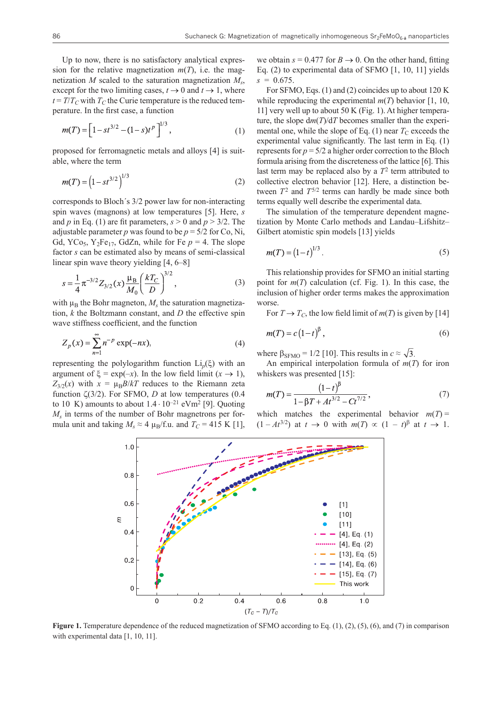Up to now, there is no satisfactory analytical expression for the relative magnetization  $m(T)$ , i.e. the magnetization *M* scaled to the saturation magnetization  $M_s$ , except for the two limiting cases,  $t \to 0$  and  $t \to 1$ , where  $t = T/T_C$  with  $T_C$  the Curie temperature is the reduced temperature. In the first case, a function

$$
m(T) = \left[1 - st^{3/2} - (1 - s)t^{p}\right]^{1/3},
$$
\n(1)

proposed for ferromagnetic metals and alloys [4] is suitable, where the term

$$
m(T) = \left(1 - st^{3/2}\right)^{1/3} \tag{2}
$$

corresponds to Bloch´s 3/2 power law for non-interacting spin waves (magnons) at low temperatures [5]. Here, *s* and *p* in Eq. (1) are fit parameters,  $s > 0$  and  $p > 3/2$ . The adjustable parameter *p* was found to be  $p = \frac{5}{2}$  for Co, Ni, Gd,  $YC_{95}$ ,  $Y_2Fe_{17}$ , GdZn, while for Fe  $p = 4$ . The slope factor *s* can be estimated also by means of semi-classical linear spin wave theory yielding [4, 6–8]

$$
s = \frac{1}{4} \pi^{-3/2} Z_{3/2}(x) \frac{\mu_B}{M_0} \left(\frac{kT_C}{D}\right)^{3/2},
$$
 (3)

with  $\mu_B$  the Bohr magneton,  $M_s$  the saturation magnetization, *k* the Boltzmann constant, and *D* the effective spin wave stiffness coefficient, and the function

$$
Z_p(x) = \sum_{n=1}^{\infty} n^{-p} \exp(-nx),
$$
 (4)

representing the polylogarithm function Li*p*(ξ) with an argument of  $\xi = \exp(-x)$ . In the low field limit  $(x \to 1)$ ,  $Z_{3/2}(x)$  with  $x = \mu_B B/kT$  reduces to the Riemann zeta function ζ(3/2). For SFMO, *D* at low temperatures (0.4 to 10 K) amounts to about  $1.4 \cdot 10^{-21}$  eVm<sup>2</sup> [9]. Quoting *Ms* in terms of the number of Bohr magnetrons per formula unit and taking  $M_s \approx 4 \mu_B/f.u.$  and  $T_C = 415 \text{ K} [1]$ ,

we obtain  $s = 0.477$  for  $B \rightarrow 0$ . On the other hand, fitting Eq. (2) to experimental data of SFMO [1, 10, 11] yields  $s = 0.675$ .

For SFMO, Eqs. (1) and (2) coincides up to about 120 K while reproducing the experimental  $m(T)$  behavior [1, 10, 11] very well up to about 50 K (Fig. 1). At higher temperature, the slope d*m*(*T*)/d*T* becomes smaller than the experimental one, while the slope of Eq.  $(1)$  near  $T_c$  exceeds the experimental value significantly. The last term in Eq. (1) represents for  $p = 5/2$  a higher order correction to the Bloch formula arising from the discreteness of the lattice [6]. This last term may be replaced also by a  $T^2$  term attributed to collective electron behavior [12]. Here, a distinction between  $T^2$  and  $T^{5/2}$  terms can hardly be made since both terms equally well describe the experimental data.

The simulation of the temperature dependent magnetization by Monte Carlo methods and Landau–Lifshitz– Gilbert atomistic spin models [13] yields

$$
m(T) = (1 - t)^{1/3}.
$$
 (5)

This relationship provides for SFMO an initial starting point for *m*(*T*) calculation (cf. Fig. 1). In this case, the inclusion of higher order terms makes the approximation worse.

For  $T \rightarrow T_C$ , the low field limit of  $m(T)$  is given by [14]

$$
n(T) = c\left(1 - t\right)^{\beta},\tag{6}
$$

where  $\beta_{\text{SFMO}} = 1/2$  [10]. This results in  $c \approx \sqrt{3}$ .

An empirical interpolation formula of  $m(T)$  for iron whiskers was presented [15]:

$$
m(T) = \frac{\left(1 - t\right)^{\beta}}{1 - \beta T + At^{3/2} - Ct^{7/2}},\tag{7}
$$

which matches the experimental behavior  $m(T)$  =  $(1 - At^{3/2})$  at  $t \to 0$  with  $m(T) \propto (1 - t)^{\beta}$  at  $t \to 1$ .



**Figure 1.** Temperature dependence of the reduced magnetization of SFMO according to Eq. (1), (2), (5), (6), and (7) in comparison with experimental data [1, 10, 11].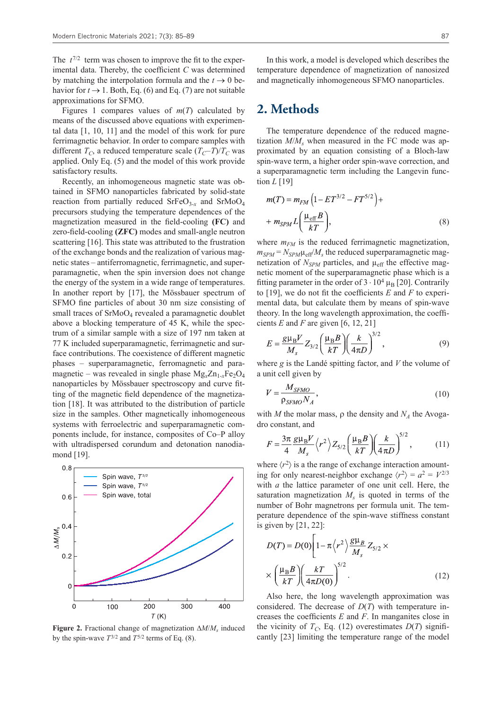The  $t^{7/2}$  term was chosen to improve the fit to the experimental data. Thereby, the coefficient *C* was determined by matching the interpolation formula and the  $t \to 0$  behavior for  $t \to 1$ . Both, Eq. (6) and Eq. (7) are not suitable approximations for SFMO.

Figures 1 compares values of *m*(*T*) calculated by means of the discussed above equations with experimental data [1, 10, 11] and the model of this work for pure ferrimagnetic behavior. In order to compare samples with different  $T_C$ , a reduced temperature scale  $(T_C-T)/T_C$  was applied. Only Eq. (5) and the model of this work provide satisfactory results.

Recently, an inhomogeneous magnetic state was obtained in SFMO nanoparticles fabricated by solid-state reaction from partially reduced  $S$ rFeO<sub>3-*x*</sub> and  $S$ rMoO<sub>4</sub> precursors studying the temperature dependences of the magnetization measured in the field-cooling **(FC)** and zero-field-cooling **(ZFC)** modes and small-angle neutron scattering [16]. This state was attributed to the frustration of the exchange bonds and the realization of various magnetic states – antiferromagnetic, ferrimagnetic, and superparamagnetic, when the spin inversion does not change the energy of the system in a wide range of temperatures. In another report by [17], the Mössbauer spectrum of SFMO fine particles of about 30 nm size consisting of small traces of  $\text{SrMoO}_4$  revealed a paramagnetic doublet above a blocking temperature of 45 K, while the spectrum of a similar sample with a size of 197 nm taken at 77 K included superparamagnetic, ferrimagnetic and surface contributions. The coexistence of different magnetic phases – superparamagnetic, ferromagnetic and paramagnetic – was revealed in single phase  $Mg_x Zn_{1-x}Fe_2O_4$ nanoparticles by Mössbauer spectroscopy and curve fitting of the magnetic field dependence of the magnetization [18]. It was attributed to the distribution of particle size in the samples. Other magnetically inhomogeneous systems with ferroelectric and superparamagnetic components include, for instance, composites of Со–Р alloy with ultradispersed corundum and detonation nanodiamond [19].



**Figure 2.** Fractional change of magnetization ∆*M*/*Ms* induced by the spin-wave  $T^{3/2}$  and  $T^{5/2}$  terms of Eq. (8).

In this work, a model is developed which describes the temperature dependence of magnetization of nanosized and magnetically inhomogeneous SFMO nanoparticles.

#### **2. Methods**

The temperature dependence of the reduced magnetization  $M/M_s$  when measured in the FC mode was approximated by an equation consisting of a Bloch-law spin-wave term, a higher order spin-wave correction, and a superparamagnetic term including the Langevin function *L* [19]

$$
m(T) = m_{FM} \left( 1 - ET^{3/2} - FT^{5/2} \right) +
$$
  
+ 
$$
m_{SPM} L \left( \frac{\mu_{\text{eff}} B}{kT} \right),
$$
 (8)

where  $m_{FM}$  is the reduced ferrimagnetic magnetization,  $m_{SPM} = N_{SPM} \mu_{eff} / M_s$  the reduced superparamagnetic magnetization of  $N_{SPM}$  particles, and  $\mu_{eff}$  the effective magnetic moment of the superparamagnetic phase which is a fitting parameter in the order of  $3 \cdot 10^4 \mu_B$  [20]. Contrarily to [19], we do not fit the coefficients *E* and *F* to experimental data, but calculate them by means of spin-wave theory. In the long wavelength approximation, the coefficients *E* and *F* are given [6, 12, 21]

$$
E = \frac{g\mu_B V}{M_s} Z_{3/2} \left(\frac{\mu_B B}{kT}\right) \left(\frac{k}{4\pi D}\right)^{3/2},\tag{9}
$$

where *g* is the Landé spitting factor, and *V* the volume of a unit cell given by

$$
V = \frac{M_{SFMO}}{\rho_{SFMO} N_A},\tag{10}
$$

with *M* the molar mass,  $\rho$  the density and  $N_A$  the Avogadro constant, and

$$
F = \frac{3\pi}{4} \frac{g\mu_B V}{M_s} \left\langle r^2 \right\rangle Z_{5/2} \left( \frac{\mu_B B}{kT} \right) \left( \frac{k}{4\pi D} \right)^{5/2},\tag{11}
$$

where  $\langle r^2 \rangle$  is a the range of exchange interaction amounting for only nearest-neighbor exchange  $\langle r^2 \rangle = a^2 = V^{2/3}$ with *a* the lattice parameter of one unit cell. Here, the saturation magnetization  $M<sub>s</sub>$  is quoted in terms of the number of Bohr magnetrons per formula unit. The temperature dependence of the spin-wave stiffness constant is given by [21, 22]:

$$
D(T) = D(0) \left[ 1 - \pi \left\langle r^2 \right\rangle \frac{g \mu_B}{M_s} Z_{5/2} \times \right] \times \left( \frac{\mu_B B}{kT} \right) \left( \frac{kT}{4\pi D(0)} \right)^{5/2} .
$$
 (12)

Also here, the long wavelength approximation was considered. The decrease of *D*(*T*) with temperature increases the coefficients *E* and *F*. In manganites close in the vicinity of  $T_c$ , Eq. (12) overestimates  $D(T)$  significantly [23] limiting the temperature range of the model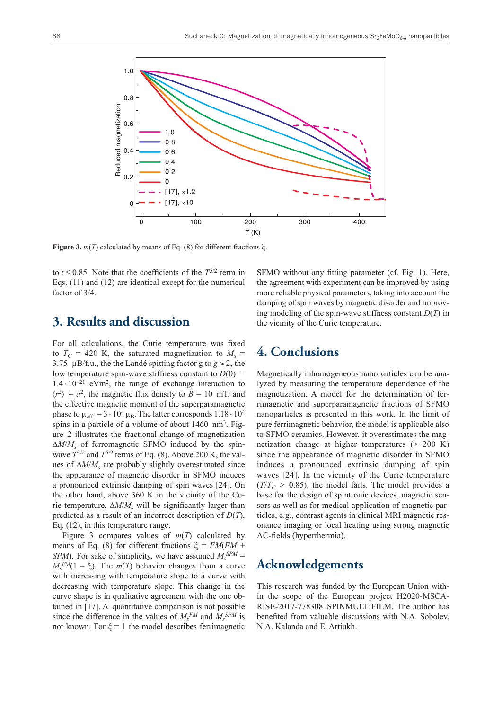

**Figure 3.** *m*(*T*) calculated by means of Eq. (8) for different fractions ξ.

to  $t \le 0.85$ . Note that the coefficients of the  $T^{5/2}$  term in Eqs. (11) and (12) are identical except for the numerical factor of 3/4.

## **3. Results and discussion**

For all calculations, the Curie temperature was fixed to  $T_C = 420$  K, the saturated magnetization to  $M_s =$ 3.75  $\mu$ B/f.u., the the Landé spitting factor g to  $g \approx 2$ , the low temperature spin-wave stiffness constant to  $D(0)$  =  $1.4 \cdot 10^{-21}$  eVm<sup>2</sup>, the range of exchange interaction to  $\langle r^2 \rangle = a^2$ , the magnetic flux density to  $B = 10$  mT, and the effective magnetic moment of the superparamagnetic phase to  $\mu_{\text{eff}} = 3 \cdot 10^4 \,\mu_{\text{B}}$ . The latter corresponds  $1.18 \cdot 10^4$ spins in a particle of a volume of about  $1460 \text{ nm}^3$ . Figure 2 illustrates the fractional change of magnetization ∆*M*/*Ms* of ferromagnetic SFMO induced by the spinwave  $T^{3/2}$  and  $T^{5/2}$  terms of Eq. (8). Above 200 K, the values of ∆*M*/*Ms* are probably slightly overestimated since the appearance of magnetic disorder in SFMO induces a pronounced extrinsic damping of spin waves [24]. On the other hand, above 360 K in the vicinity of the Curie temperature, ∆*M*/*Ms* will be significantly larger than predicted as a result of an incorrect description of *D*(*T*), Eq. (12), in this temperature range.

Figure 3 compares values of  $m(T)$  calculated by means of Eq. (8) for different fractions ξ = *FM*(*FM* + *SPM*). For sake of simplicity, we have assumed  $M_s^{SPM} =$  $M_s^{FM}(1 - \xi)$ . The *m*(*T*) behavior changes from a curve with increasing with temperature slope to a curve with decreasing with temperature slope. This change in the curve shape is in qualitative agreement with the one obtained in [17]. A quantitative comparison is not possible since the difference in the values of  $M_s^{FM}$  and  $M_s^{SPM}$  is not known. For  $\xi = 1$  the model describes ferrimagnetic

SFMO without any fitting parameter (cf. Fig. 1). Here, the agreement with experiment can be improved by using more reliable physical parameters, taking into account the damping of spin waves by magnetic disorder and improving modeling of the spin-wave stiffness constant *D*(*T*) in the vicinity of the Curie temperature.

# **4. Conclusions**

Magnetically inhomogeneous nanoparticles can be analyzed by measuring the temperature dependence of the magnetization. A model for the determination of ferrimagnetic and superparamagnetic fractions of SFMO nanoparticles is presented in this work. In the limit of pure ferrimagnetic behavior, the model is applicable also to SFMO ceramics. However, it overestimates the magnetization change at higher temperatures (> 200 K) since the appearance of magnetic disorder in SFMO induces a pronounced extrinsic damping of spin waves [24]. In the vicinity of the Curie temperature  $(T/T_C > 0.85)$ , the model fails. The model provides a base for the design of spintronic devices, magnetic sensors as well as for medical application of magnetic particles, e.g., contrast agents in clinical MRI magnetic resonance imaging or local heating using strong magnetic AC-fields (hyperthermia).

# **Acknowledgements**

This research was funded by the European Union within the scope of the European project H2020-MSCA-RISE-2017-778308–SPINMULTIFILM. The author has benefited from valuable discussions with N.A. Sobolev, N.A. Kalanda and E. Artiukh.